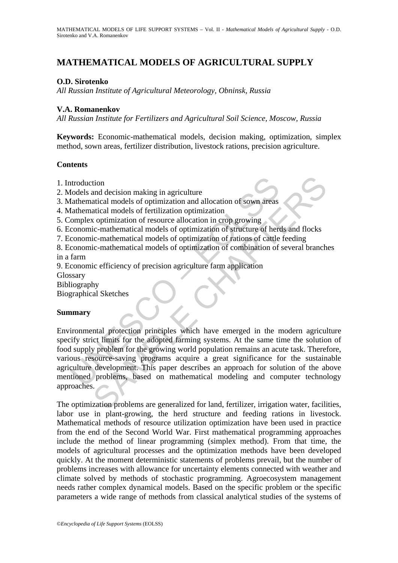# **MATHEMATICAL MODELS OF AGRICULTURAL SUPPLY**

### **O.D. Sirotenko**

*All Russian Institute of Agricultural Meteorology, Obninsk, Russia* 

#### **V.A. Romanenkov**

*All Russian Institute for Fertilizers and Agricultural Soil Science, Moscow, Russia* 

**Keywords:** Economic-mathematical models, decision making, optimization, simplex method, sown areas, fertilizer distribution, livestock rations, precision agriculture.

#### **Contents**

- 1. Introduction
- 2. Models and decision making in agriculture
- 3. Mathematical models of optimization and allocation of sown areas
- 4. Mathematical models of fertilization optimization
- 5. Complex optimization of resource allocation in crop growing
- 6. Economic-mathematical models of optimization of structure of herds and flocks
- 7. Economic-mathematical models of optimization of rations of cattle feeding
- 8. Economic-mathematical models of optimization of combination of several branches in a farm
- 9. Economic efficiency of precision agriculture farm application
- Glossary
- Bibliography
- Biographical Sketches

#### **Summary**

ntroduction<br>
and decision making in agriculture<br>
dathematical models of optimization and allocation of sown areas<br>
fathematical models of fertilization optimization<br>
comonic-mathematical models of optimization of structure tion<br>
and decision making in agriculture<br>
attical models of optimization and allocation of sown areas<br>
attical models of perifilization optimization<br>
continuization of resource allocation in crop growing<br>
ic:-mathematical Environmental protection principles which have emerged in the modern agriculture specify strict limits for the adopted farming systems. At the same time the solution of food supply problem for the growing world population remains an acute task. Therefore, various resource-saving programs acquire a great significance for the sustainable agriculture development. This paper describes an approach for solution of the above mentioned problems, based on mathematical modeling and computer technology approaches.

The optimization problems are generalized for land, fertilizer, irrigation water, facilities, labor use in plant-growing, the herd structure and feeding rations in livestock. Mathematical methods of resource utilization optimization have been used in practice from the end of the Second World War. First mathematical programming approaches include the method of linear programming (simplex method). From that time, the models of agricultural processes and the optimization methods have been developed quickly. At the moment deterministic statements of problems prevail, but the number of problems increases with allowance for uncertainty elements connected with weather and climate solved by methods of stochastic programming. Agroecosystem management needs rather complex dynamical models. Based on the specific problem or the specific parameters a wide range of methods from classical analytical studies of the systems of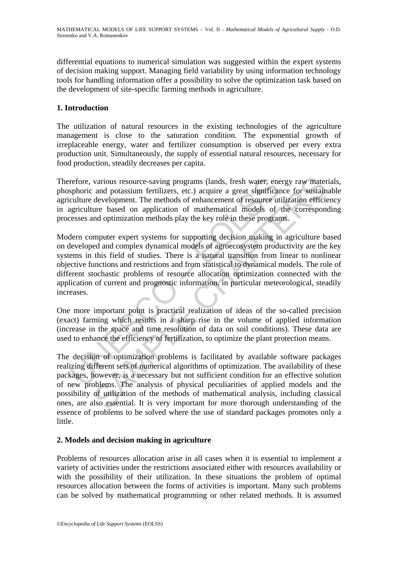differential equations to numerical simulation was suggested within the expert systems of decision making support. Managing field variability by using information technology tools for handling information offer a possibility to solve the optimization task based on the development of site-specific farming methods in agriculture.

### **1. Introduction**

The utilization of natural resources in the existing technologies of the agriculture management is close to the saturation condition. The exponential growth of irreplaceable energy, water and fertilizer consumption is observed per every extra production unit. Simultaneously, the supply of essential natural resources, necessary for food production, steadily decreases per capita.

Therefore, various resource-saving programs (lands, fresh water, energy raw materials, phosphoric and potassium fertilizers, etc.) acquire a great significance for sustainable agriculture development. The methods of enhancement of resource utilization efficiency in agriculture based on application of mathematical models of the corresponding processes and optimization methods play the key role in these programs.

refore, various resource-saving programs (lands, fresh water, enesphoric and potassium fertilizers, etc.) acquire a great significatiour direct during direct during direct and application of mathematical models of essess a various resource-saving programs (lands, fresh water, energy raw mater and potassium fertilizers, etc.) acquire a great significance for sustain development. The methods of enhancement of resource utilization efficies ure Modern computer expert systems for supporting decision making in agriculture based on developed and complex dynamical models of agroecosystem productivity are the key systems in this field of studies. There is a natural transition from linear to nonlinear objective functions and restrictions and from statistical to dynamical models. The role of different stochastic problems of resource allocation optimization connected with the application of current and prognostic information, in particular meteorological, steadily increases.

One more important point is practical realization of ideas of the so-called precision (exact) farming which results in a sharp rise in the volume of applied information (increase in the space and time resolution of data on soil conditions). These data are used to enhance the efficiency of fertilization, to optimize the plant protection means.

The decision of optimization problems is facilitated by available software packages realizing different sets of numerical algorithms of optimization. The availability of these packages, however, is a necessary but not sufficient condition for an effective solution of new problems. The analysis of physical peculiarities of applied models and the possibility of utilization of the methods of mathematical analysis, including classical ones, are also essential. It is very important for more thorough understanding of the essence of problems to be solved where the use of standard packages promotes only a little.

#### **2. Models and decision making in agriculture**

Problems of resources allocation arise in all cases when it is essential to implement a variety of activities under the restrictions associated either with resources availability or with the possibility of their utilization. In these situations the problem of optimal resources allocation between the forms of activities is important. Many such problems can be solved by mathematical programming or other related methods. It is assumed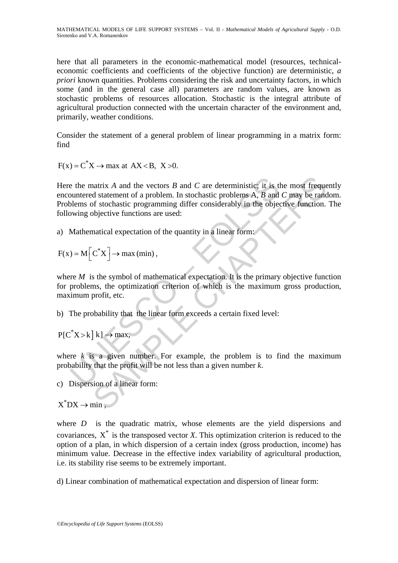here that all parameters in the economic-mathematical model (resources, technicaleconomic coefficients and coefficients of the objective function) are deterministic, *a priori* known quantities. Problems considering the risk and uncertainty factors, in which some (and in the general case all) parameters are random values, are known as stochastic problems of resources allocation. Stochastic is the integral attribute of agricultural production connected with the uncertain character of the environment and, primarily, weather conditions.

Consider the statement of a general problem of linear programming in a matrix form: find

 $F(x) = C^*X \rightarrow \text{max}$  at  $AX < B$ ,  $X > 0$ .

e the matrix A and the vectors B and C are deterministic; it is the unitered statement of a problem. In stochastic problems A, B and<br>plems of stochastic programming differ considerably in the objective functions are used: natrix A and the vectors B and C are deterministic; it is the most frequent different of a problem. In stochastic problems A, B and C may be rand of stochastic programming differ considerably in the objective function.<br>bi Here the matrix *A* and the vectors *B* and *C* are deterministic; it is the most frequently encountered statement of a problem. In stochastic problems A*, B* and *C* may be random. Problems of stochastic programming differ considerably in the objective function. The following objective functions are used:

a) Mathematical expectation of the quantity in a linear form:

$$
F(x) = M\left[C^*X\right] \to \max\left(\min\right),\,
$$

where  $M$  is the symbol of mathematical expectation. It is the primary objective function for problems, the optimization criterion of which is the maximum gross production, maximum profit, etc.

b) The probability that the linear form exceeds a certain fixed level:

 $P[C^*X > k] k] \rightarrow \text{max},$ 

where  $k$  is a given number. For example, the problem is to find the maximum probability that the profit will be not less than a given number *k*.

c) Dispersion of a linear form:

 $X^*$ DX  $\rightarrow$  min  $\bullet$ 

where *D* is the quadratic matrix, whose elements are the yield dispersions and covariances,  $X^*$  is the transposed vector *X*. This optimization criterion is reduced to the option of a plan, in which dispersion of a certain index (gross production, income) has minimum value. Decrease in the effective index variability of agricultural production, i.e. its stability rise seems to be extremely important.

d) Linear combination of mathematical expectation and dispersion of linear form: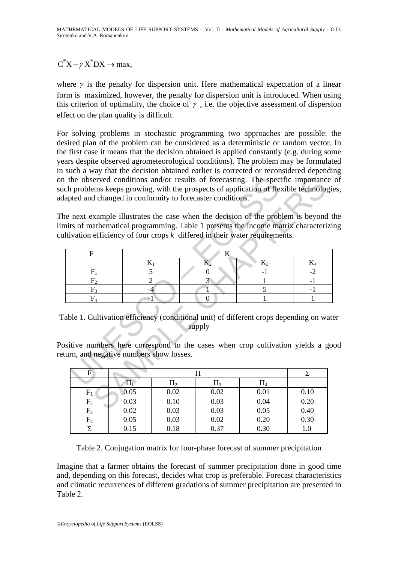$C^*X - \gamma X^*DX \rightarrow \text{max}$ .

where  $\gamma$  is the penalty for dispersion unit. Here mathematical expectation of a linear form is maximized, however, the penalty for dispersion unit is introduced. When using this criterion of optimality, the choice of  $\gamma$ , i.e. the objective assessment of dispersion effect on the plan quality is difficult.

For solving problems in stochastic programming two approaches are possible: the desired plan of the problem can be considered as a deterministic or random vector. In the first case it means that the decision obtained is applied constantly (e.g. during some years despite observed agrometeorological conditions). The problem may be formulated in such a way that the decision obtained earlier is corrected or reconsidered depending on the observed conditions and/or results of forecasting. The specific importance of such problems keeps growing, with the prospects of application of flexible technologies, adapted and changed in conformity to forecaster conditions.

The next example illustrates the case when the decision of the problem is beyond the limits of mathematical programming. Table 1 presents the income matrix characterizing cultivation efficiency of four crops *k* differed in their water requirements.

|  |                         |                                         |                | lapted and changed in conformity to forecaster conditions. | i the observed conditions and/or results of forecasting. The specific importance<br>ich problems keeps growing, with the prospects of application of flexible technologie  |              |  |  |
|--|-------------------------|-----------------------------------------|----------------|------------------------------------------------------------|----------------------------------------------------------------------------------------------------------------------------------------------------------------------------|--------------|--|--|
|  |                         |                                         |                |                                                            | he next example illustrates the case when the decision of the problem is beyond the                                                                                        |              |  |  |
|  |                         |                                         |                |                                                            | mits of mathematical programming. Table 1 presents the income matrix characterizin<br>iltivation efficiency of four crops $k$ differed in their water requirements.        |              |  |  |
|  |                         |                                         |                |                                                            |                                                                                                                                                                            |              |  |  |
|  | F<br>K                  |                                         |                |                                                            |                                                                                                                                                                            |              |  |  |
|  |                         | $K_1$                                   |                | $\rm K_2$                                                  | $K_3$                                                                                                                                                                      | $K_4$        |  |  |
|  | $F_1$                   | 5                                       |                | 0                                                          | $-1$                                                                                                                                                                       | $-2$         |  |  |
|  | F <sub>2</sub><br>$F_3$ |                                         | $\overline{2}$ | $\overline{3}$                                             | 5                                                                                                                                                                          | $-1$<br>$-1$ |  |  |
|  |                         |                                         | $-4$           |                                                            |                                                                                                                                                                            |              |  |  |
|  | $F_4$                   | -1                                      |                | $\Omega$                                                   |                                                                                                                                                                            |              |  |  |
|  |                         | turn, and negative numbers show losses. |                | supply                                                     | able 1. Cultivation efficiency (conditional unit) of different crops depending on wate<br>ositive numbers here correspond to the cases when crop cultivation yields a good |              |  |  |
|  | $\overline{F}$          |                                         |                | П                                                          |                                                                                                                                                                            | Σ            |  |  |
|  |                         | $\Pi_1$                                 | $\Pi_2$        | $\Pi_3$                                                    | $\Pi_4$                                                                                                                                                                    |              |  |  |
|  | $F_1$                   | 0.05                                    | 0.02           | 0.02                                                       | 0.01                                                                                                                                                                       | 0.10         |  |  |
|  | F <sub>2</sub>          | 0.03                                    | 0.10           | 0.03                                                       | 0.04                                                                                                                                                                       | 0.20         |  |  |
|  | $\mathbf{E}$            | റ റാ                                    | <u>ስ ሰ2</u>    | <u>ስ ሰ2</u>                                                | ስ ስሩ                                                                                                                                                                       | 0.40         |  |  |

Table 1. Cultivation efficiency (conditional unit) of different crops depending on water supply

Positive numbers here correspond to the cases when crop cultivation yields a good return, and negative numbers show losses.

| F              |      |         |         |                  |      |
|----------------|------|---------|---------|------------------|------|
|                |      | $\Pi_2$ | $\Pi_3$ | l l <sub>4</sub> |      |
| $F_1$          | 0.05 | 0.02    | 0.02    | 0.01             | 0.10 |
| F <sub>2</sub> | 0.03 | 0.10    | 0.03    | 0.04             | 0.20 |
| $F_3$          | 0.02 | 0.03    | 0.03    | 0.05             | 0.40 |
| $\rm{F}_4$     | 0.05 | 0.03    | 0.02    | 0.20             | 0.30 |
|                | 0.15 | 0.18    | 0.37    | 0.30             |      |

Table 2. Conjugation matrix for four-phase forecast of summer precipitation

Imagine that a farmer obtains the forecast of summer precipitation done in good time and, depending on this forecast, decides what crop is preferable. Forecast characteristics and climatic recurrences of different gradations of summer precipitation are presented in Table 2.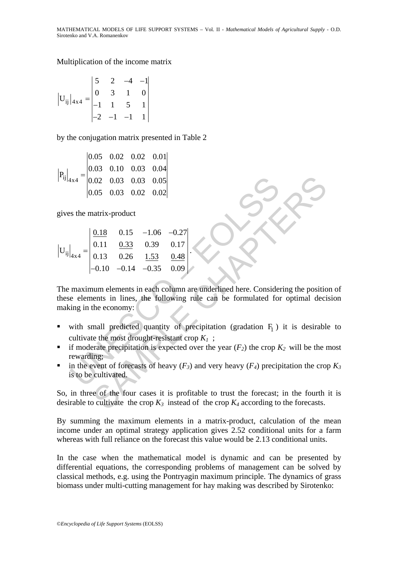#### Multiplication of the income matrix

$$
|\mathbf{U}_{ij}|_{4\times4} = \begin{vmatrix} 5 & 2 & -4 & -1 \\ 0 & 3 & 1 & 0 \\ -1 & 1 & 5 & 1 \\ -2 & -1 & -1 & 1 \end{vmatrix}
$$

by the conjugation matrix presented in Table 2

$$
P_{ij}|_{4x4} = \begin{vmatrix} 0.05 & 0.02 & 0.02 & 0.01 \\ 0.03 & 0.10 & 0.03 & 0.04 \\ 0.02 & 0.03 & 0.03 & 0.05 \\ 0.05 & 0.03 & 0.02 & 0.02 \end{vmatrix}
$$

gives the matrix-product

| $\left \mathbf{U}_{ij}\right _{4\times4} = \begin{vmatrix} \frac{0.18}{0.11} & 0.15 & -1.06 & -0.27 \\ 0.11 & \frac{0.33}{0.33} & 0.39 & 0.17 \\ 0.13 & 0.26 & \frac{1.53}{0.35} & \frac{0.48}{0.09} \end{vmatrix}$ |  |  |
|---------------------------------------------------------------------------------------------------------------------------------------------------------------------------------------------------------------------|--|--|
|                                                                                                                                                                                                                     |  |  |

<sup>1x4</sub> =  $\begin{bmatrix} 0.02 & 0.03 & 0.03 & 0.05 \\ 0.05 & 0.03 & 0.02 & 0.02 \end{bmatrix}$ <br>
es the matrix-product<br>  $\begin{bmatrix} 0.18 & 0.15 & -1.06 & -0.27 \\ 0.11 & \frac{0.33}{0.26} & \frac{1.53}{1.53} & \frac{0.48}{0.09} \end{bmatrix}$ <br>  $\begin{bmatrix} 0.10 & -0.14 & -0.35 & 0.09 \\ -0.10 & -0.$ 0.02 0.03 0.03 0.05<br>
0.05 0.03 0.02 0.02<br>
1.18 0.15 -1.06 -0.27<br>
0.11 0.33 0.39 0.17<br>
1.13 0.26 1.53 0.48<br>
-0.10 -0.14 -0.35 0.09<br>
num elements in each column are underlined here. Considering the positic<br>
num elements in The maximum elements in each column are underlined here. Considering the position of these elements in lines, the following rule can be formulated for optimal decision making in the economy:

.

- with small predicted quantity of precipitation (gradation  $F_1$ ) it is desirable to cultivate the most drought-resistant crop  $K_1$ ;
- if moderate precipitation is expected over the year  $(F_2)$  the crop  $K_2$  will be the most rewarding;
- in the event of forecasts of heavy  $(F_3)$  and very heavy  $(F_4)$  precipitation the crop  $K_3$ is to be cultivated.

So, in three of the four cases it is profitable to trust the forecast; in the fourth it is desirable to cultivate the crop  $K_3$  instead of the crop  $K_4$  according to the forecasts.

By summing the maximum elements in a matrix-product, calculation of the mean income under an optimal strategy application gives 2.52 conditional units for a farm whereas with full reliance on the forecast this value would be 2.13 conditional units.

In the case when the mathematical model is dynamic and can be presented by differential equations, the corresponding problems of management can be solved by classical methods, e.g. using the Pontryagin maximum principle. The dynamics of grass biomass under multi-cutting management for hay making was described by Sirotenko: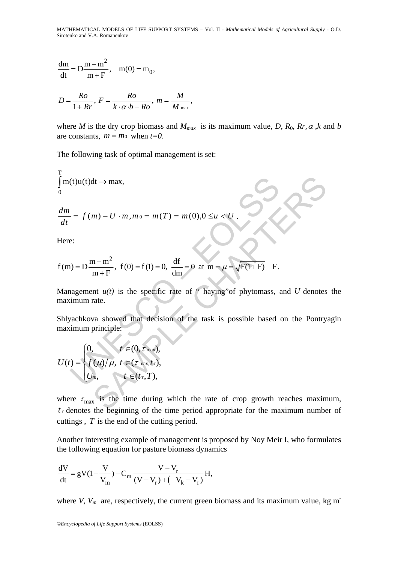MATHEMATICAL MODELS OF LIFE SUPPORT SYSTEMS – Vol. II - *Mathematical Models of Agricultural Supply* - O.D. Sirotenko and V.A. Romanenkov

$$
\frac{dm}{dt} = D\frac{m - m^2}{m + F}, \quad m(0) = m_0,
$$
  

$$
D = \frac{Ro}{1 + Rr}, F = \frac{Ro}{k \cdot \alpha \cdot b - Ro}, m = \frac{M}{M_{\text{max}}},
$$

where *M* is the dry crop biomass and  $M_{max}$  is its maximum value, *D*,  $R_0$ ,  $R_r$ ,  $\alpha$ ,  $k$  and  $b$ are constants,  $m = m_0$  when  $t=0$ .

The following task of optimal management is set:

$$
\int_{0}^{T} m(t)u(t)dt \to \max,
$$

$$
\frac{dm}{dt} = f(m) - U \cdot m, m_0 = m(T) = m(0), 0 \le u < U.
$$

Here:

$$
\int_{0}^{m(t)u(t)dt \to \max,}
$$
\n
$$
\frac{dm}{dt} = f(m) - U \cdot m, m_0 = m(T) = m(0), 0 \le u < U.
$$
\nHere:\n
$$
f(m) = D \frac{m - m^2}{m + F}, \quad f(0) = f(1) = 0, \quad \frac{df}{dm} = 0 \quad \text{at } m = \mu = \sqrt{F(1 + F)} - F.
$$
\nManagement  $u(t)$  is the specific rate of " having" of phytomas, a maximum rate.\nShlyachkova showed that decision of the task is possible based maximum principle:\n
$$
U(t) = \begin{cases} 0, & t \in (0, \tau_{\text{max}}, t) \\ f(\mu)/\mu, & t \in (t_{\tau}, T), \\ U_{m}, & t \in (t_{\tau}, T), \end{cases}
$$

Management  $u(t)$  is the specific rate of " haying" of phytomass, and *U* denotes the maximum rate.

dt → max,<br>
m) – U · m, m<sub>0</sub> = m(T) = m(0),0 ≤u < U.<br>
m+F<sup>2</sup>, f(0) = f(1) = 0,  $\frac{df}{dm}$  = 0 at m =  $\mu$  =  $\sqrt{F(1+F)}$  – F.<br>
m+F<sup>2</sup>, f(0) = f(1) = 0,  $\frac{df}{dm}$  = 0 at m =  $\mu$  =  $\sqrt{F(1+F)}$  – F.<br>
mt  $u(t)$  is the specific ra Shlyachkova showed that decision of the task is possible based on the Pontryagin maximum principle:

$$
U(t) = \begin{cases} 0, & t \in (0, \tau_{\max}), \\ f(\mu)/\mu, & t \in (\tau_{\max}, t_{\tau}), \\ U_m, & t \in (t_{\tau}, T), \end{cases}
$$

where  $\tau_{\text{max}}$  is the time during which the rate of crop growth reaches maximum,  $t<sub>T</sub>$  denotes the beginning of the time period appropriate for the maximum number of cuttings , *T* is the end of the cutting period.

Another interesting example of management is proposed by Noy Meir I, who formulates the following equation for pasture biomass dynamics

$$
\frac{dV}{dt} = gV(1 - \frac{V}{V_m}) - C_m \frac{V - V_r}{(V - V_r) + (V_k - V_r)}H,
$$

where *V*,  $V_m$  are, respectively, the current green biomass and its maximum value, kg m<sup>-</sup>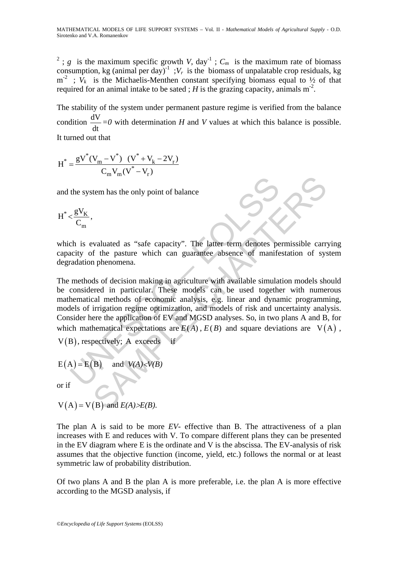<sup>2</sup>; *g* is the maximum specific growth *V*, day<sup>-1</sup>;  $C_m$  is the maximum rate of biomass consumption, kg (animal per day)<sup>-1</sup>;  $V_r$  is the biomass of unpalatable crop residuals, kg  $m^{-2}$ ;  $V_k$  is the Michaelis-Menthen constant specifying biomass equal to  $\frac{1}{2}$  of that required for an animal intake to be sated; *H* is the grazing capacity, animals  $m<sup>2</sup>$ .

The stability of the system under permanent pasture regime is verified from the balance condition  $\frac{dV}{dt}$ dt *=0* with determination *H* and *V* values at which this balance is possible.

It turned out that

$$
H^* = \frac{gV^*(V_m - V^*) \ (V^* + V_k - 2V_r)}{C_mV_m(V^* - V_r)}
$$

and the system has the only point of balance

$$
H^*\!<\!\frac{gV_K}{C_m},
$$

which is evaluated as "safe capacity". The latter term denotes permissible carrying capacity of the pasture which can guarantee absence of manifestation of system degradation phenomena.

the system has the only point of balance<br>  $\langle \frac{gV_K}{C_m} \rangle$ <br>
ch is evaluated as "safe capacity". The latter term denotes perfective of the pasture which can guarantee absence of manife<br>
radation phenomena.<br>
methods of deci tem has the only point of balance<br>
tem has the only point of balance<br>
Secure the pasture which can guarantee absence of manifestation of system<br>
of the pasture which can guarantee absence of manifestation of system<br>
and t The methods of decision making in agriculture with available simulation models should be considered in particular. These models can be used together with numerous mathematical methods of economic analysis, e.g. linear and dynamic programming, models of irrigation regime optimization, and models of risk and uncertainty analysis. Consider here the application of EV and MGSD analyses. So, in two plans A and B, for which mathematical expectations are  $E(A)$ ,  $E(B)$  and square deviations are  $V(A)$ ,

$$
V(B)
$$
, respectively; A exceeds if

$$
E(A) = E(B)
$$
 and  $V(A) < V(B)$ 

or if

$$
V(A) = V(B)
$$
 and  $E(A) > E(B)$ .

The plan A is said to be more *EV*- effective than B. The attractiveness of a plan increases with E and reduces with V. To compare different plans they can be presented in the EV diagram where E is the ordinate and V is the abscissa. The EV-analysis of risk assumes that the objective function (income, yield, etc.) follows the normal or at least symmetric law of probability distribution.

Of two plans A and B the plan A is more preferable, i.e. the plan A is more effective according to the MGSD analysis, if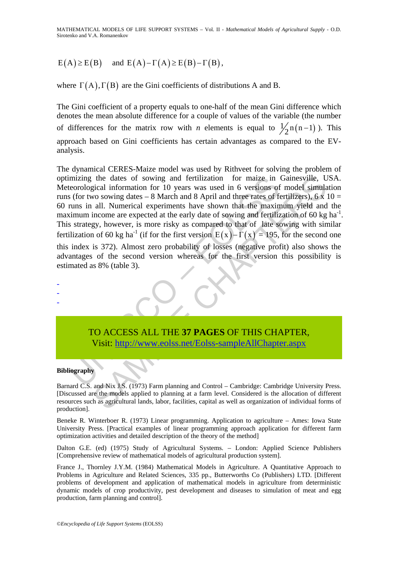## $E(A) \ge E(B)$  and  $E(A) - \Gamma(A) \ge E(B) - \Gamma(B)$ ,

where  $\Gamma(A), \Gamma(B)$  are the Gini coefficients of distributions A and B.

The Gini coefficient of a property equals to one-half of the mean Gini difference which denotes the mean absolute difference for a couple of values of the variable (the number of differences for the matrix row with *n* elements is equal to  $\frac{1}{2}n(n-1)$ . This approach based on Gini coefficients has certain advantages as compared to the EVanalysis.

mizing the dates of sowing and fertilization for maize in<br>eorological information for 10 years was used in 6 versions of<br>(for two sowing dates - 8 March and 8 April and three rates of for<br>twisn in all. Numerical experimen the dates of sowing and fertilization for maize in Gainesville, Uniformation for 10 years was used in 6 versions of model simulation or 10 years was used in 6 versions of model simulation can can be all. Numerical experime The dynamical CERES-Maize model was used by Rithveet for solving the problem of optimizing the dates of sowing and fertilization for maize in Gainesville, USA. Meteorological information for 10 years was used in 6 versions of model simulation runs (for two sowing dates – 8 March and 8 April and three rates of fertilizers), 6 x 10 = 60 runs in all. Numerical experiments have shown that the maximum yield and the maximum income are expected at the early date of sowing and fertilization of 60 kg ha<sup>-1</sup>. This strategy, however, is more risky as compared to that of late sowing with similar fertilization of 60 kg ha<sup>-1</sup> (if for the first version  $E(x) - \Gamma(x) = 195$ , for the second one this index is 372). Almost zero probability of losses (negative profit) also shows the advantages of the second version whereas for the first version this possibility is estimated as 8% (table 3).



#### **Bibliography**

- - -

Barnard C.S. and Nix J.S. (1973) Farm planning and Control – Cambridge: Cambridge University Press. [Discussed are the models applied to planning at a farm level. Considered is the allocation of different resources such as agricultural lands, labor, facilities, capital as well as organization of individual forms of production].

Beneke R. Winterboer R. (1973) Linear programming. Application to agriculture – Ames: Iowa State University Press. [Practical examples of linear programming approach application for different farm optimization activities and detailed description of the theory of the method]

Dalton G.E. (ed) (1975) Study of Agricultural Systems. – London: Applied Science Publishers [Comprehensive review of mathematical models of agricultural production system].

France J., Thornley J.Y.M. (1984) Mathematical Models in Agriculture. A Quantitative Approach to Problems in Agriculture and Related Sciences, 335 pp., Butterworths Co (Publishers) LTD. [Different problems of development and application of mathematical models in agriculture from deterministic dynamic models of crop productivity, pest development and diseases to simulation of meat and egg production, farm planning and control].